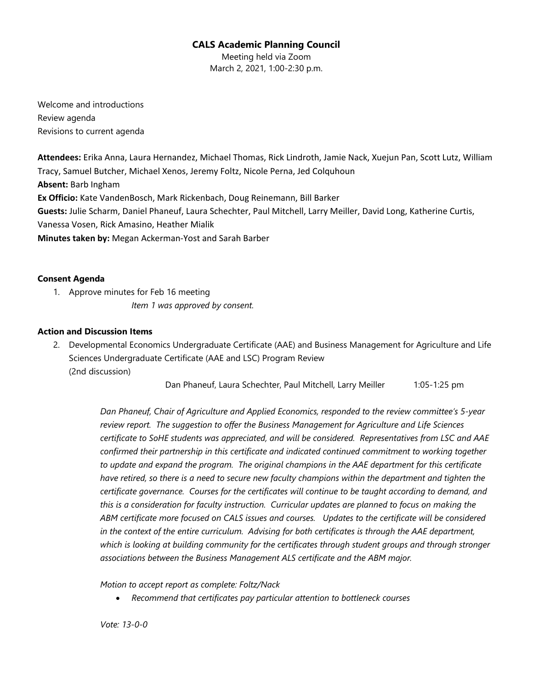# **CALS Academic Planning Council**

Meeting held via Zoom March 2, 2021, 1:00-2:30 p.m.

Welcome and introductions Review agenda Revisions to current agenda

**Attendees:** Erika Anna, Laura Hernandez, Michael Thomas, Rick Lindroth, Jamie Nack, Xuejun Pan, Scott Lutz, William Tracy, Samuel Butcher, Michael Xenos, Jeremy Foltz, Nicole Perna, Jed Colquhoun **Absent:** Barb Ingham **Ex Officio:** Kate VandenBosch, Mark Rickenbach, Doug Reinemann, Bill Barker **Guests:** Julie Scharm, Daniel Phaneuf, Laura Schechter, Paul Mitchell, Larry Meiller, David Long, Katherine Curtis, Vanessa Vosen, Rick Amasino, Heather Mialik **Minutes taken by:** Megan Ackerman-Yost and Sarah Barber

# **Consent Agenda**

1. Approve minutes for Feb 16 meeting *Item 1 was approved by consent.*

# **Action and Discussion Items**

2. Developmental Economics Undergraduate Certificate (AAE) and Business Management for Agriculture and Life Sciences Undergraduate Certificate (AAE and LSC) Program Review (2nd discussion)

Dan Phaneuf, Laura Schechter, Paul Mitchell, Larry Meiller 1:05-1:25 pm

*Dan Phaneuf, Chair of Agriculture and Applied Economics, responded to the review committee's 5-year review report. The suggestion to offer the Business Management for Agriculture and Life Sciences certificate to SoHE students was appreciated, and will be considered. Representatives from LSC and AAE confirmed their partnership in this certificate and indicated continued commitment to working together to update and expand the program. The original champions in the AAE department for this certificate have retired, so there is a need to secure new faculty champions within the department and tighten the certificate governance. Courses for the certificates will continue to be taught according to demand, and this is a consideration for faculty instruction. Curricular updates are planned to focus on making the ABM certificate more focused on CALS issues and courses. Updates to the certificate will be considered in the context of the entire curriculum. Advising for both certificates is through the AAE department, which is looking at building community for the certificates through student groups and through stronger associations between the Business Management ALS certificate and the ABM major.*

*Motion to accept report as complete: Foltz/Nack*

• *Recommend that certificates pay particular attention to bottleneck courses*

*Vote: 13-0-0*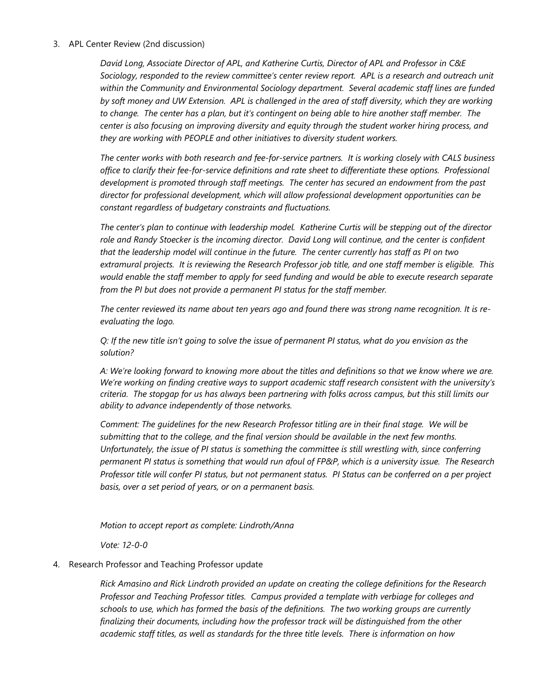#### 3. APL Center Review (2nd discussion)

*David Long, Associate Director of APL, and Katherine Curtis, Director of APL and Professor in C&E Sociology, responded to the review committee's center review report. APL is a research and outreach unit within the Community and Environmental Sociology department. Several academic staff lines are funded by soft money and UW Extension. APL is challenged in the area of staff diversity, which they are working to change. The center has a plan, but it's contingent on being able to hire another staff member. The center is also focusing on improving diversity and equity through the student worker hiring process, and they are working with PEOPLE and other initiatives to diversity student workers.*

*The center works with both research and fee-for-service partners. It is working closely with CALS business office to clarify their fee-for-service definitions and rate sheet to differentiate these options. Professional development is promoted through staff meetings. The center has secured an endowment from the past director for professional development, which will allow professional development opportunities can be constant regardless of budgetary constraints and fluctuations.*

*The center's plan to continue with leadership model. Katherine Curtis will be stepping out of the director role and Randy Stoecker is the incoming director. David Long will continue, and the center is confident that the leadership model will continue in the future. The center currently has staff as PI on two extramural projects. It is reviewing the Research Professor job title, and one staff member is eligible. This would enable the staff member to apply for seed funding and would be able to execute research separate from the PI but does not provide a permanent PI status for the staff member.*

*The center reviewed its name about ten years ago and found there was strong name recognition. It is reevaluating the logo.*

*Q: If the new title isn't going to solve the issue of permanent PI status, what do you envision as the solution?*

*A: We're looking forward to knowing more about the titles and definitions so that we know where we are. We're working on finding creative ways to support academic staff research consistent with the university's criteria. The stopgap for us has always been partnering with folks across campus, but this still limits our ability to advance independently of those networks.*

*Comment: The guidelines for the new Research Professor titling are in their final stage. We will be submitting that to the college, and the final version should be available in the next few months. Unfortunately, the issue of PI status is something the committee is still wrestling with, since conferring permanent PI status is something that would run afoul of FP&P, which is a university issue. The Research Professor title will confer PI status, but not permanent status. PI Status can be conferred on a per project basis, over a set period of years, or on a permanent basis.*

*Motion to accept report as complete: Lindroth/Anna*

*Vote: 12-0-0*

### 4. Research Professor and Teaching Professor update

*Rick Amasino and Rick Lindroth provided an update on creating the college definitions for the Research Professor and Teaching Professor titles. Campus provided a template with verbiage for colleges and schools to use, which has formed the basis of the definitions. The two working groups are currently finalizing their documents, including how the professor track will be distinguished from the other academic staff titles, as well as standards for the three title levels. There is information on how*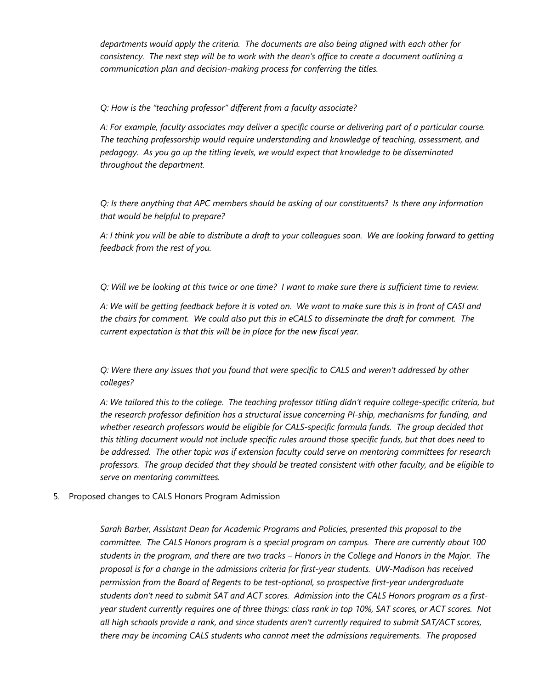*departments would apply the criteria. The documents are also being aligned with each other for consistency. The next step will be to work with the dean's office to create a document outlining a communication plan and decision-making process for conferring the titles.*

*Q: How is the "teaching professor" different from a faculty associate?*

*A: For example, faculty associates may deliver a specific course or delivering part of a particular course. The teaching professorship would require understanding and knowledge of teaching, assessment, and pedagogy. As you go up the titling levels, we would expect that knowledge to be disseminated throughout the department.*

*Q: Is there anything that APC members should be asking of our constituents? Is there any information that would be helpful to prepare?*

*A: I think you will be able to distribute a draft to your colleagues soon. We are looking forward to getting feedback from the rest of you.*

*Q: Will we be looking at this twice or one time? I want to make sure there is sufficient time to review.*

*A: We will be getting feedback before it is voted on. We want to make sure this is in front of CASI and the chairs for comment. We could also put this in eCALS to disseminate the draft for comment. The current expectation is that this will be in place for the new fiscal year.*

*Q: Were there any issues that you found that were specific to CALS and weren't addressed by other colleges?*

*A: We tailored this to the college. The teaching professor titling didn't require college-specific criteria, but the research professor definition has a structural issue concerning PI-ship, mechanisms for funding, and whether research professors would be eligible for CALS-specific formula funds. The group decided that this titling document would not include specific rules around those specific funds, but that does need to be addressed. The other topic was if extension faculty could serve on mentoring committees for research professors. The group decided that they should be treated consistent with other faculty, and be eligible to serve on mentoring committees.*

5. Proposed changes to CALS Honors Program Admission

*Sarah Barber, Assistant Dean for Academic Programs and Policies, presented this proposal to the committee. The CALS Honors program is a special program on campus. There are currently about 100 students in the program, and there are two tracks – Honors in the College and Honors in the Major. The proposal is for a change in the admissions criteria for first-year students. UW-Madison has received permission from the Board of Regents to be test-optional, so prospective first-year undergraduate students don't need to submit SAT and ACT scores. Admission into the CALS Honors program as a firstyear student currently requires one of three things: class rank in top 10%, SAT scores, or ACT scores. Not all high schools provide a rank, and since students aren't currently required to submit SAT/ACT scores, there may be incoming CALS students who cannot meet the admissions requirements. The proposed*